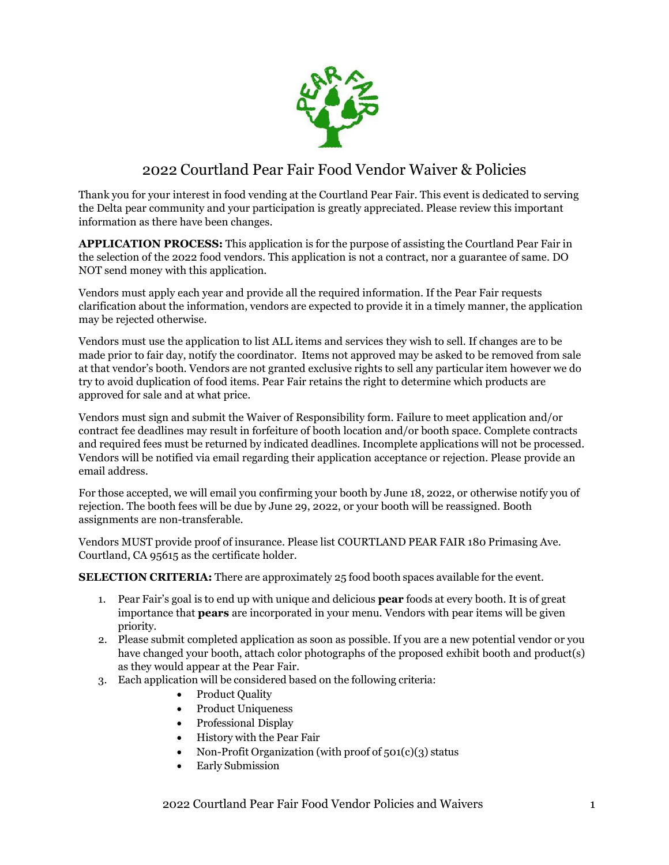

## 2022 Courtland Pear Fair Food Vendor Waiver & Policies

Thank you for your interest in food vending at the Courtland Pear Fair. This event is dedicated to serving the Delta pear community and your participation is greatly appreciated. Please review this important information as there have been changes.

**APPLICATION PROCESS:** This application is for the purpose of assisting the Courtland Pear Fair in the selection of the 2022 food vendors. This application is not a contract, nor a guarantee of same. DO NOT send money with this application.

Vendors must apply each year and provide all the required information. If the Pear Fair requests clarification about the information, vendors are expected to provide it in a timely manner, the application may be rejected otherwise.

Vendors must use the application to list ALL items and services they wish to sell. If changes are to be made prior to fair day, notify the coordinator. Items not approved may be asked to be removed from sale at that vendor's booth. Vendors are not granted exclusive rights to sell any particular item however we do try to avoid duplication of food items. Pear Fair retains the right to determine which products are approved for sale and at what price.

Vendors must sign and submit the Waiver of Responsibility form. Failure to meet application and/or contract fee deadlines may result in forfeiture of booth location and/or booth space. Complete contracts and required fees must be returned by indicated deadlines. Incomplete applications will not be processed. Vendors will be notified via email regarding their application acceptance or rejection. Please provide an email address.

For those accepted, we will email you confirming your booth by June 18, 2022, or otherwise notify you of rejection. The booth fees will be due by June 29, 2022, or your booth will be reassigned. Booth assignments are non-transferable.

Vendors MUST provide proof of insurance. Please list COURTLAND PEAR FAIR 180 Primasing Ave. Courtland, CA 95615 as the certificate holder.

**SELECTION CRITERIA:** There are approximately 25 food booth spaces available for the event.

- 1. Pear Fair's goal is to end up with unique and delicious **pear** foods at every booth. It is of great importance that **pears** are incorporated in your menu. Vendors with pear items will be given priority.
- 2. Please submit completed application as soon as possible. If you are a new potential vendor or you have changed your booth, attach color photographs of the proposed exhibit booth and product(s) as they would appear at the Pear Fair.
- 3. Each application will be considered based on the following criteria:
	- Product Quality
	- Product Uniqueness
	- Professional Display
	- History with the Pear Fair
	- Non-Profit Organization (with proof of 501(c)(3) status
	- Early Submission

2022 Courtland Pear Fair Food Vendor Policies and Waivers 1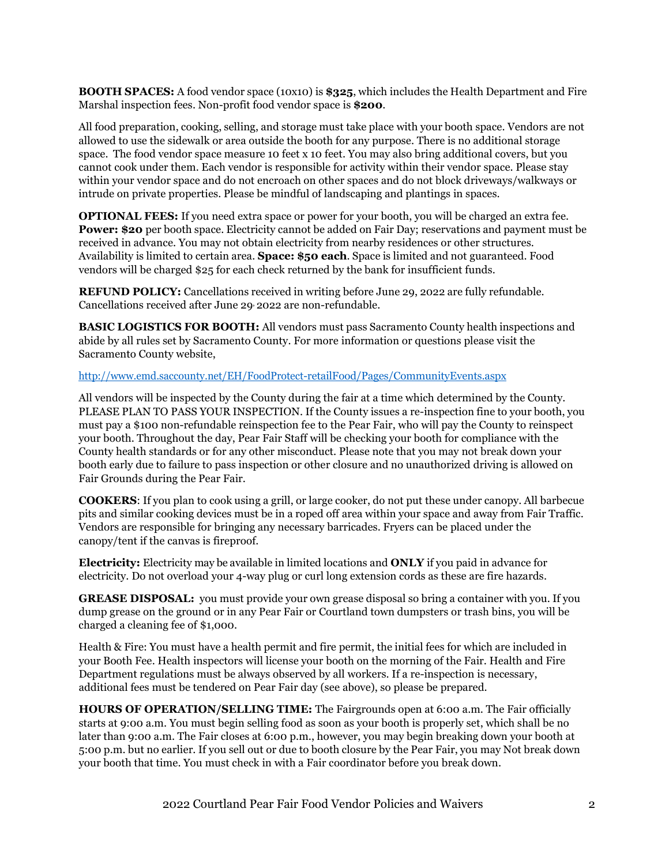**BOOTH SPACES:** A food vendor space (10x10) is **\$325**, which includes the Health Department and Fire Marshal inspection fees. Non-profit food vendor space is **\$200**.

All food preparation, cooking, selling, and storage must take place with your booth space. Vendors are not allowed to use the sidewalk or area outside the booth for any purpose. There is no additional storage space. The food vendor space measure 10 feet x 10 feet. You may also bring additional covers, but you cannot cook under them. Each vendor is responsible for activity within their vendor space. Please stay within your vendor space and do not encroach on other spaces and do not block driveways/walkways or intrude on private properties. Please be mindful of landscaping and plantings in spaces.

**OPTIONAL FEES:** If you need extra space or power for your booth, you will be charged an extra fee. **Power: \$20** per booth space. Electricity cannot be added on Fair Day; reservations and payment must be received in advance. You may not obtain electricity from nearby residences or other structures. Availability is limited to certain area. **Space: \$50 each**. Space is limited and not guaranteed. Food vendors will be charged \$25 for each check returned by the bank for insufficient funds.

**REFUND POLICY:** Cancellations received in writing before June 29, 2022 are fully refundable. Cancellations received after June 29, 2022 are non-refundable.

**BASIC LOGISTICS FOR BOOTH:** All vendors must pass Sacramento County health inspections and abide by all rules set by Sacramento County. For more information or questions please visit the Sacramento County website,

## <http://www.emd.saccounty.net/EH/FoodProtect-retailFood/Pages/CommunityEvents.aspx>

All vendors will be inspected by the County during the fair at a time which determined by the County. PLEASE PLAN TO PASS YOUR INSPECTION. If the County issues a re-inspection fine to your booth, you must pay a \$100 non-refundable reinspection fee to the Pear Fair, who will pay the County to reinspect your booth. Throughout the day, Pear Fair Staff will be checking your booth for compliance with the County health standards or for any other misconduct. Please note that you may not break down your booth early due to failure to pass inspection or other closure and no unauthorized driving is allowed on Fair Grounds during the Pear Fair.

**COOKERS**: If you plan to cook using a grill, or large cooker, do not put these under canopy. All barbecue pits and similar cooking devices must be in a roped off area within your space and away from Fair Traffic. Vendors are responsible for bringing any necessary barricades. Fryers can be placed under the canopy/tent if the canvas is fireproof.

**Electricity:** Electricity may be available in limited locations and **ONLY** if you paid in advance for electricity. Do not overload your 4-way plug or curl long extension cords as these are fire hazards.

**GREASE DISPOSAL:** you must provide your own grease disposal so bring a container with you. If you dump grease on the ground or in any Pear Fair or Courtland town dumpsters or trash bins, you will be charged a cleaning fee of \$1,000.

Health & Fire: You must have a health permit and fire permit, the initial fees for which are included in your Booth Fee. Health inspectors will license your booth on the morning of the Fair. Health and Fire Department regulations must be always observed by all workers. If a re-inspection is necessary, additional fees must be tendered on Pear Fair day (see above), so please be prepared.

**HOURS OF OPERATION/SELLING TIME:** The Fairgrounds open at 6:00 a.m. The Fair officially starts at 9:00 a.m. You must begin selling food as soon as your booth is properly set, which shall be no later than 9:00 a.m. The Fair closes at 6:00 p.m., however, you may begin breaking down your booth at 5:00 p.m. but no earlier. If you sell out or due to booth closure by the Pear Fair, you may Not break down your booth that time. You must check in with a Fair coordinator before you break down.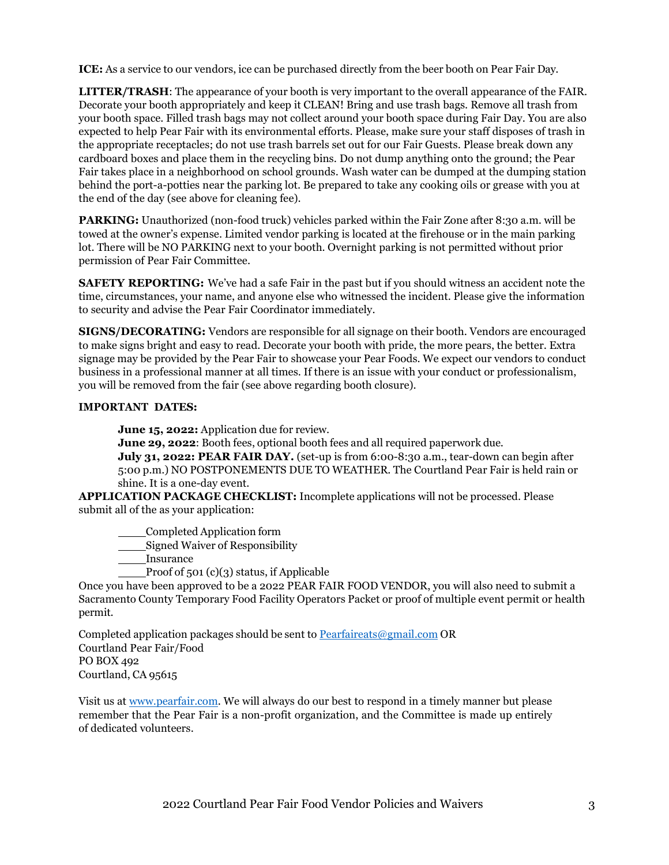**ICE:** As a service to our vendors, ice can be purchased directly from the beer booth on Pear Fair Day.

**LITTER/TRASH**: The appearance of your booth is very important to the overall appearance of the FAIR. Decorate your booth appropriately and keep it CLEAN! Bring and use trash bags. Remove all trash from your booth space. Filled trash bags may not collect around your booth space during Fair Day. You are also expected to help Pear Fair with its environmental efforts. Please, make sure your staff disposes of trash in the appropriate receptacles; do not use trash barrels set out for our Fair Guests. Please break down any cardboard boxes and place them in the recycling bins. Do not dump anything onto the ground; the Pear Fair takes place in a neighborhood on school grounds. Wash water can be dumped at the dumping station behind the port-a-potties near the parking lot. Be prepared to take any cooking oils or grease with you at the end of the day (see above for cleaning fee).

**PARKING:** Unauthorized (non-food truck) vehicles parked within the Fair Zone after 8:30 a.m. will be towed at the owner's expense. Limited vendor parking is located at the firehouse or in the main parking lot. There will be NO PARKING next to your booth. Overnight parking is not permitted without prior permission of Pear Fair Committee.

**SAFETY REPORTING:** We've had a safe Fair in the past but if you should witness an accident note the time, circumstances, your name, and anyone else who witnessed the incident. Please give the information to security and advise the Pear Fair Coordinator immediately.

**SIGNS/DECORATING:** Vendors are responsible for all signage on their booth. Vendors are encouraged to make signs bright and easy to read. Decorate your booth with pride, the more pears, the better. Extra signage may be provided by the Pear Fair to showcase your Pear Foods. We expect our vendors to conduct business in a professional manner at all times. If there is an issue with your conduct or professionalism, you will be removed from the fair (see above regarding booth closure).

## **IMPORTANT DATES:**

June 15, 2022: Application due for review.

**June 29, 2022:** Booth fees, optional booth fees and all required paperwork due.

**July 31, 2022: PEAR FAIR DAY.** (set-up is from 6:00-8:30 a.m., tear-down can begin after 5:00 p.m.) NO POSTPONEMENTS DUE TO WEATHER. The Courtland Pear Fair is held rain or shine. It is a one-day event.

**APPLICATION PACKAGE CHECKLIST:** Incomplete applications will not be processed. Please submit all of the as your application:

Completed Application form

Signed Waiver of Responsibility

Insurance

Proof of 501 (c)(3) status, if Applicable

Once you have been approved to be a 2022 PEAR FAIR FOOD VENDOR, you will also need to submit a Sacramento County Temporary Food Facility Operators Packet or proof of multiple event permit or health permit.

Completed application packages should be sent to [Pearfaireats@gmail.com](mailto:Pearfaireats@gmail.com) OR Courtland Pear Fair/Food PO BOX 492 Courtland, CA 95615

Visit us at [www.pearfair.com. W](http://www.pearfair.com/)e will always do our best to respond in a timely manner but please remember that the Pear Fair is a non-profit organization, and the Committee is made up entirely of dedicated volunteers.